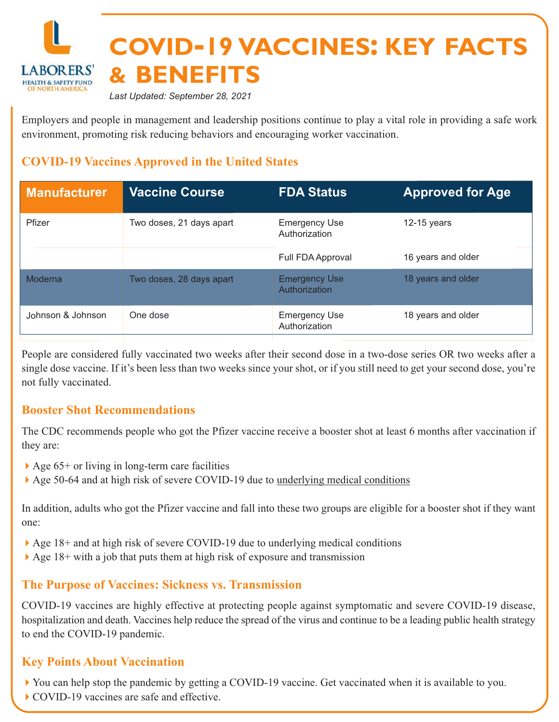

*Last Updated: September 28, 2021*

Employers and people in management and leadership positions continue to play a vital role in providing a safe work environment, promoting risk reducing behaviors and encouraging worker vaccination.

## **COVID-19 Vaccines Approved in the United States**

| <b>Manufacturer</b> | <b>Vaccine Course</b>    | <b>FDA Status</b>                     | <b>Approved for Age</b> |
|---------------------|--------------------------|---------------------------------------|-------------------------|
| Pfizer              | Two doses, 21 days apart | <b>Emergency Use</b><br>Authorization | 12-15 years             |
|                     |                          | Full FDA Approval                     | 16 years and older      |
| Moderna             | Two doses, 28 days apart | <b>Emergency Use</b><br>Authorization | 18 years and older      |
| Johnson & Johnson   | One dose                 | <b>Emergency Use</b><br>Authorization | 18 years and older      |

People are considered fully vaccinated two weeks after their second dose in a two-dose series OR two weeks after a single dose vaccine. If it's been less than two weeks since your shot, or if you still need to get your second dose, you're not fully vaccinated.

#### **Booster Shot Recommendations**

The CDC recommends people who got the Pfizer vaccine receive a booster shot at least 6 months after vaccination if they are:

- $\blacktriangleright$  Age 65+ or living in long-term care facilities
- ▶ Age 50-64 and at high risk of severe COVID-19 due to <u>[underlying medical conditions](https://www.cdc.gov/coronavirus/2019-ncov/need-extra-precautions/people-with-medical-conditions.html)</u>

In addition, adults who got the Pfizer vaccine and fall into these two groups are eligible for a booster shot if they want one:

- ▶ Age 18+ and at high risk of severe COVID-19 due to underlying medical conditions
- $\blacktriangleright$  Age 18+ with a job that puts them at high risk of exposure and transmission

#### **The Purpose of Vaccines: Sickness vs. Transmission**

COVID-19 vaccines are highly effective at protecting people against symptomatic and severe COVID-19 disease, hospitalization and death. Vaccines help reduce the spread of the virus and continue to be a leading public health strategy to end the COVID-19 pandemic.

#### **Key Points About Vaccination**

- ▶ You can help stop the pandemic by getting a COVID-19 vaccine. Get vaccinated when it is available to you.
- ▶ COVID-19 vaccines are safe and effective.